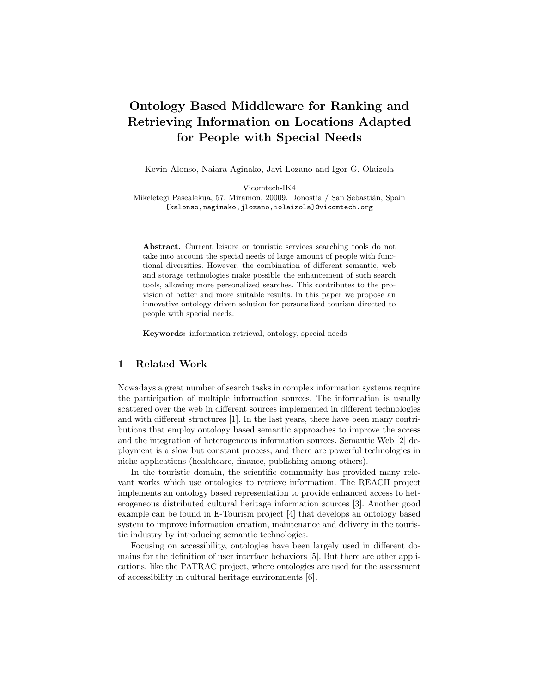# Ontology Based Middleware for Ranking and Retrieving Information on Locations Adapted for People with Special Needs

Kevin Alonso, Naiara Aginako, Javi Lozano and Igor G. Olaizola

Vicomtech-IK4

Mikeletegi Pasealekua, 57. Miramon, 20009. Donostia / San Sebastián, Spain {kalonso,naginako,jlozano,iolaizola}@vicomtech.org

Abstract. Current leisure or touristic services searching tools do not take into account the special needs of large amount of people with functional diversities. However, the combination of different semantic, web and storage technologies make possible the enhancement of such search tools, allowing more personalized searches. This contributes to the provision of better and more suitable results. In this paper we propose an innovative ontology driven solution for personalized tourism directed to people with special needs.

Keywords: information retrieval, ontology, special needs

#### 1 Related Work

Nowadays a great number of search tasks in complex information systems require the participation of multiple information sources. The information is usually scattered over the web in different sources implemented in different technologies and with different structures [1]. In the last years, there have been many contributions that employ ontology based semantic approaches to improve the access and the integration of heterogeneous information sources. Semantic Web [2] deployment is a slow but constant process, and there are powerful technologies in niche applications (healthcare, finance, publishing among others).

In the touristic domain, the scientific community has provided many relevant works which use ontologies to retrieve information. The REACH project implements an ontology based representation to provide enhanced access to heterogeneous distributed cultural heritage information sources [3]. Another good example can be found in E-Tourism project [4] that develops an ontology based system to improve information creation, maintenance and delivery in the touristic industry by introducing semantic technologies.

Focusing on accessibility, ontologies have been largely used in different domains for the definition of user interface behaviors [5]. But there are other applications, like the PATRAC project, where ontologies are used for the assessment of accessibility in cultural heritage environments [6].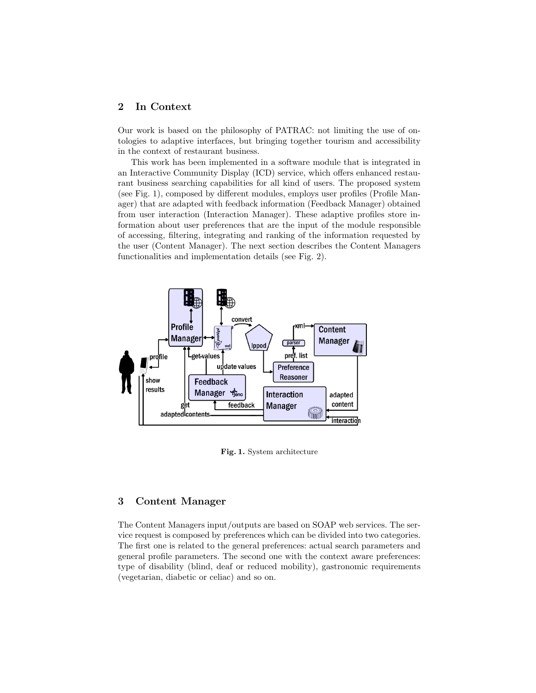## 2 In Context

Our work is based on the philosophy of PATRAC: not limiting the use of ontologies to adaptive interfaces, but bringing together tourism and accessibility in the context of restaurant business.

This work has been implemented in a software module that is integrated in an Interactive Community Display (ICD) service, which offers enhanced restaurant business searching capabilities for all kind of users. The proposed system (see Fig. 1), composed by different modules, employs user profiles (Profile Manager) that are adapted with feedback information (Feedback Manager) obtained from user interaction (Interaction Manager). These adaptive profiles store information about user preferences that are the input of the module responsible of accessing, filtering, integrating and ranking of the information requested by the user (Content Manager). The next section describes the Content Managers functionalities and implementation details (see Fig. 2).



Fig. 1. System architecture

## 3 Content Manager

The Content Managers input/outputs are based on SOAP web services. The service request is composed by preferences which can be divided into two categories. The first one is related to the general preferences: actual search parameters and general profile parameters. The second one with the context aware preferences: type of disability (blind, deaf or reduced mobility), gastronomic requirements (vegetarian, diabetic or celiac) and so on.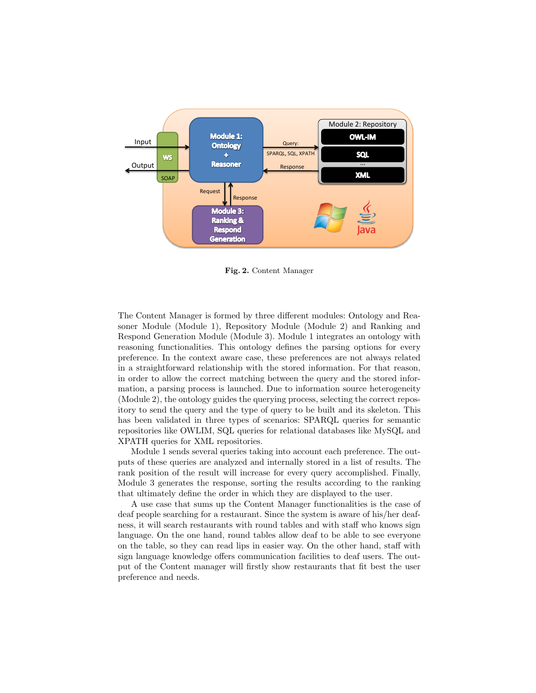

Fig. 2. Content Manager

The Content Manager is formed by three different modules: Ontology and Reasoner Module (Module 1), Repository Module (Module 2) and Ranking and Respond Generation Module (Module 3). Module 1 integrates an ontology with reasoning functionalities. This ontology defines the parsing options for every preference. In the context aware case, these preferences are not always related in a straightforward relationship with the stored information. For that reason, in order to allow the correct matching between the query and the stored information, a parsing process is launched. Due to information source heterogeneity (Module 2), the ontology guides the querying process, selecting the correct repository to send the query and the type of query to be built and its skeleton. This has been validated in three types of scenarios: SPARQL queries for semantic repositories like OWLIM, SQL queries for relational databases like MySQL and XPATH queries for XML repositories.

Module 1 sends several queries taking into account each preference. The outputs of these queries are analyzed and internally stored in a list of results. The rank position of the result will increase for every query accomplished. Finally, Module 3 generates the response, sorting the results according to the ranking that ultimately define the order in which they are displayed to the user.

A use case that sums up the Content Manager functionalities is the case of deaf people searching for a restaurant. Since the system is aware of his/her deafness, it will search restaurants with round tables and with staff who knows sign language. On the one hand, round tables allow deaf to be able to see everyone on the table, so they can read lips in easier way. On the other hand, staff with sign language knowledge offers communication facilities to deaf users. The output of the Content manager will firstly show restaurants that fit best the user preference and needs.